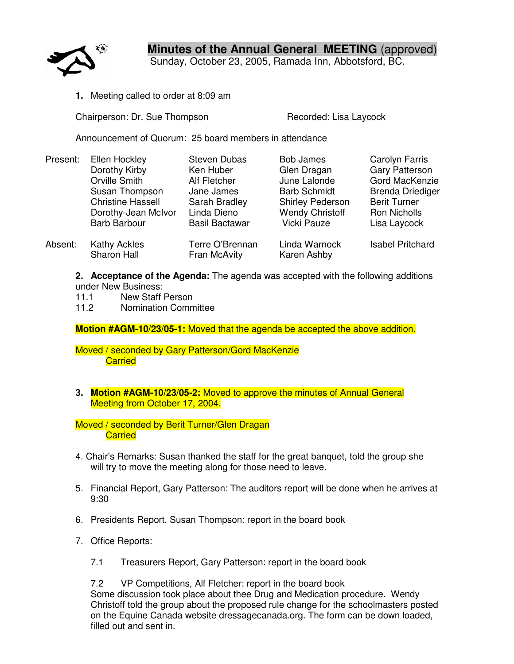

**Minutes of the Annual General MEETING** (approved)

Sunday, October 23, 2005, Ramada Inn, Abbotsford, BC.

**1.** Meeting called to order at 8:09 am

Chairperson: Dr. Sue Thompson **Recorded: Lisa Laycock** 

Announcement of Quorum: 25 board members in attendance

| Present: | Ellen Hockley                      | <b>Steven Dubas</b>             | <b>Bob James</b>             | Carolyn Farris          |
|----------|------------------------------------|---------------------------------|------------------------------|-------------------------|
|          | Dorothy Kirby                      | Ken Huber                       | Glen Dragan                  | <b>Gary Patterson</b>   |
|          | Orville Smith                      | Alf Fletcher                    | June Lalonde                 | Gord MacKenzie          |
|          | Susan Thompson                     | Jane James                      | <b>Barb Schmidt</b>          | <b>Brenda Driediger</b> |
|          | <b>Christine Hassell</b>           | Sarah Bradley                   | <b>Shirley Pederson</b>      | <b>Berit Turner</b>     |
|          | Dorothy-Jean McIvor                | Linda Dieno                     | <b>Wendy Christoff</b>       | Ron Nicholls            |
|          | <b>Barb Barbour</b>                | <b>Basil Bactawar</b>           | <b>Vicki Pauze</b>           | Lisa Laycock            |
| Absent:  | <b>Kathy Ackles</b><br>Sharon Hall | Terre O'Brennan<br>Fran McAvity | Linda Warnock<br>Karen Ashby | <b>Isabel Pritchard</b> |

**2. Acceptance of the Agenda:** The agenda was accepted with the following additions under New Business:

11.1 New Staff Person

11.2 Nomination Committee

**Motion #AGM-10/23/05-1:** Moved that the agenda be accepted the above addition.

Moved / seconded by Gary Patterson/Gord MacKenzie **Carried** 

**3. Motion #AGM-10/23/05-2:** Moved to approve the minutes of Annual General Meeting from October 17, 2004.

Moved / seconded by Berit Turner/Glen Dragan **Carried** 

- 4. Chair's Remarks: Susan thanked the staff for the great banquet, told the group she will try to move the meeting along for those need to leave.
- 5. Financial Report, Gary Patterson: The auditors report will be done when he arrives at 9:30
- 6. Presidents Report, Susan Thompson: report in the board book
- 7. Office Reports:
	- 7.1 Treasurers Report, Gary Patterson: report in the board book

7.2 VP Competitions, Alf Fletcher: report in the board book Some discussion took place about thee Drug and Medication procedure. Wendy Christoff told the group about the proposed rule change for the schoolmasters posted on the Equine Canada website dressagecanada.org. The form can be down loaded, filled out and sent in.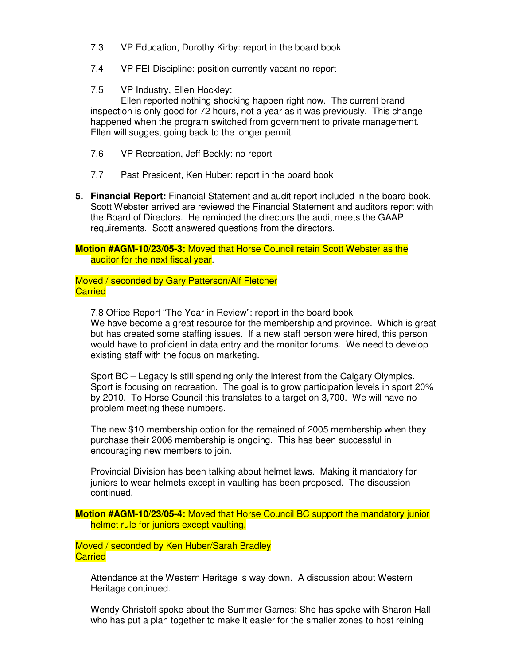- 7.3 VP Education, Dorothy Kirby: report in the board book
- 7.4 VP FEI Discipline: position currently vacant no report
- 7.5 VP Industry, Ellen Hockley:

Ellen reported nothing shocking happen right now. The current brand inspection is only good for 72 hours, not a year as it was previously. This change happened when the program switched from government to private management. Ellen will suggest going back to the longer permit.

- 7.6 VP Recreation, Jeff Beckly: no report
- 7.7 Past President, Ken Huber: report in the board book
- **5. Financial Report:** Financial Statement and audit report included in the board book. Scott Webster arrived are reviewed the Financial Statement and auditors report with the Board of Directors. He reminded the directors the audit meets the GAAP requirements. Scott answered questions from the directors.

**Motion #AGM-10/23/05-3:** Moved that Horse Council retain Scott Webster as the auditor for the next fiscal year.

Moved / seconded by Gary Patterson/Alf Fletcher **Carried** 

7.8 Office Report "The Year in Review": report in the board book We have become a great resource for the membership and province. Which is great but has created some staffing issues. If a new staff person were hired, this person would have to proficient in data entry and the monitor forums. We need to develop existing staff with the focus on marketing.

Sport BC – Legacy is still spending only the interest from the Calgary Olympics. Sport is focusing on recreation. The goal is to grow participation levels in sport 20% by 2010. To Horse Council this translates to a target on 3,700. We will have no problem meeting these numbers.

The new \$10 membership option for the remained of 2005 membership when they purchase their 2006 membership is ongoing. This has been successful in encouraging new members to join.

Provincial Division has been talking about helmet laws. Making it mandatory for juniors to wear helmets except in vaulting has been proposed. The discussion continued.

**Motion #AGM-10/23/05-4:** Moved that Horse Council BC support the mandatory junior helmet rule for juniors except vaulting.

Moved / seconded by Ken Huber/Sarah Bradley **Carried** 

Attendance at the Western Heritage is way down. A discussion about Western Heritage continued.

Wendy Christoff spoke about the Summer Games: She has spoke with Sharon Hall who has put a plan together to make it easier for the smaller zones to host reining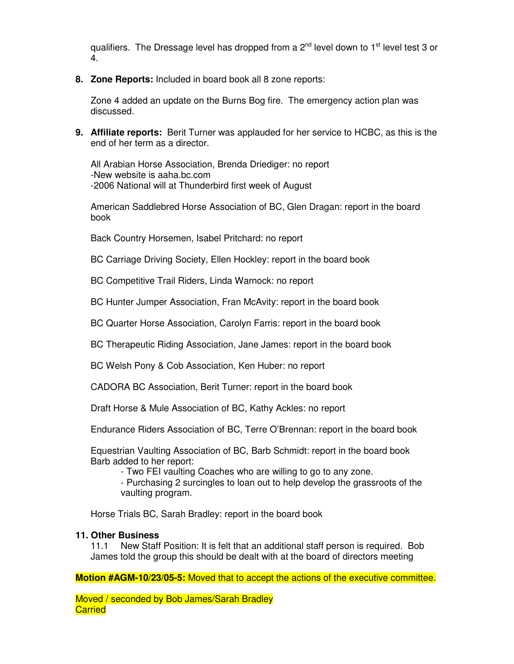qualifiers. The Dressage level has dropped from a 2<sup>nd</sup> level down to 1<sup>st</sup> level test 3 or 4.

**8. Zone Reports:** Included in board book all 8 zone reports:

Zone 4 added an update on the Burns Bog fire. The emergency action plan was discussed.

**9. Affiliate reports:** Berit Turner was applauded for her service to HCBC, as this is the end of her term as a director.

All Arabian Horse Association, Brenda Driediger: no report -New website is aaha.bc.com -2006 National will at Thunderbird first week of August

American Saddlebred Horse Association of BC, Glen Dragan: report in the board book

Back Country Horsemen, Isabel Pritchard: no report

BC Carriage Driving Society, Ellen Hockley: report in the board book

BC Competitive Trail Riders, Linda Warnock: no report

BC Hunter Jumper Association, Fran McAvity: report in the board book

BC Quarter Horse Association, Carolyn Farris: report in the board book

BC Therapeutic Riding Association, Jane James: report in the board book

BC Welsh Pony & Cob Association, Ken Huber: no report

CADORA BC Association, Berit Turner: report in the board book

Draft Horse & Mule Association of BC, Kathy Ackles: no report

Endurance Riders Association of BC, Terre O'Brennan: report in the board book

Equestrian Vaulting Association of BC, Barb Schmidt: report in the board book Barb added to her report:

- Two FEI vaulting Coaches who are willing to go to any zone.

- Purchasing 2 surcingles to loan out to help develop the grassroots of the vaulting program.

Horse Trials BC, Sarah Bradley: report in the board book

## **11. Other Business**

11.1 New Staff Position: It is felt that an additional staff person is required. Bob James told the group this should be dealt with at the board of directors meeting

**Motion #AGM-10/23/05-5:** Moved that to accept the actions of the executive committee.

Moved / seconded by Bob James/Sarah Bradley **Carried**